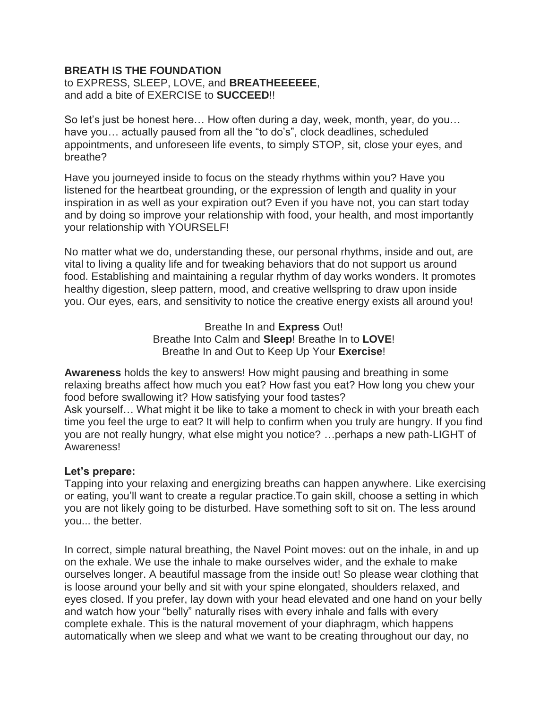## **BREATH IS THE FOUNDATION**

## to EXPRESS, SLEEP, LOVE, and **BREATHEEEEEE**, and add a bite of EXERCISE to **SUCCEED**!!

So let's just be honest here… How often during a day, week, month, year, do you… have you… actually paused from all the "to do's", clock deadlines, scheduled appointments, and unforeseen life events, to simply STOP, sit, close your eyes, and breathe?

Have you journeyed inside to focus on the steady rhythms within you? Have you listened for the heartbeat grounding, or the expression of length and quality in your inspiration in as well as your expiration out? Even if you have not, you can start today and by doing so improve your relationship with food, your health, and most importantly your relationship with YOURSELF!

No matter what we do, understanding these, our personal rhythms, inside and out, are vital to living a quality life and for tweaking behaviors that do not support us around food. Establishing and maintaining a regular rhythm of day works wonders. It promotes healthy digestion, sleep pattern, mood, and creative wellspring to draw upon inside you. Our eyes, ears, and sensitivity to notice the creative energy exists all around you!

> Breathe In and **Express** Out! Breathe Into Calm and **Sleep**! Breathe In to **LOVE**! Breathe In and Out to Keep Up Your **Exercise**!

**Awareness** holds the key to answers! How might pausing and breathing in some relaxing breaths affect how much you eat? How fast you eat? How long you chew your food before swallowing it? How satisfying your food tastes? Ask yourself… What might it be like to take a moment to check in with your breath each time you feel the urge to eat? It will help to confirm when you truly are hungry. If you find you are not really hungry, what else might you notice? …perhaps a new path-LIGHT of Awareness!

## **Let's prepare:**

Tapping into your relaxing and energizing breaths can happen anywhere. Like exercising or eating, you'll want to create a regular practice.To gain skill, choose a setting in which you are not likely going to be disturbed. Have something soft to sit on. The less around you... the better.

In correct, simple natural breathing, the Navel Point moves: out on the inhale, in and up on the exhale. We use the inhale to make ourselves wider, and the exhale to make ourselves longer. A beautiful massage from the inside out! So please wear clothing that is loose around your belly and sit with your spine elongated, shoulders relaxed, and eyes closed. If you prefer, lay down with your head elevated and one hand on your belly and watch how your "belly" naturally rises with every inhale and falls with every complete exhale. This is the natural movement of your diaphragm, which happens automatically when we sleep and what we want to be creating throughout our day, no